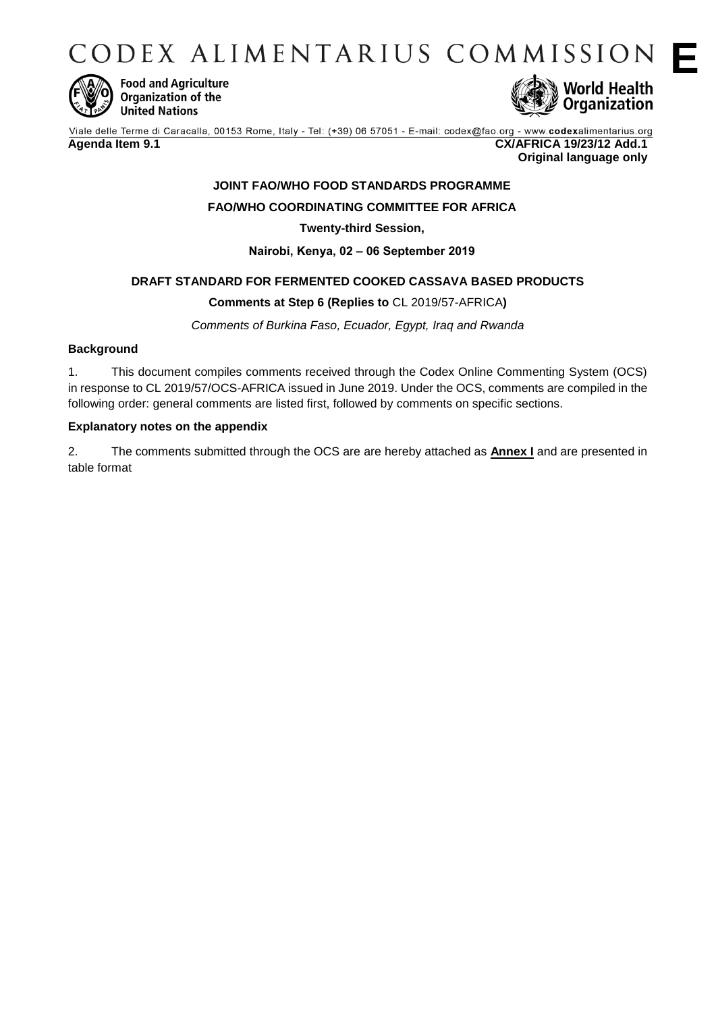CODEX ALIMENTARIUS COMMISSION F



**Food and Agriculture** Organization of the **United Nations** 



Viale delle Terme di Caracalla, 00153 Rome, Italy - Tel: (+39) 06 57051 - E-mail: codex@fao.org - www.codexalimentarius.org **Agenda Item 9.1 CX/AFRICA 19/23/12 Add.1 Original language only**

# **JOINT FAO/WHO FOOD STANDARDS PROGRAMME FAO/WHO COORDINATING COMMITTEE FOR AFRICA**

**Twenty-third Session,** 

**Nairobi, Kenya, 02 ‒ 06 September 2019**

## **DRAFT STANDARD FOR FERMENTED COOKED CASSAVA BASED PRODUCTS**

### **Comments at Step 6 (Replies to** CL 2019/57-AFRICA**)**

*Comments of Burkina Faso, Ecuador, Egypt, Iraq and Rwanda* 

#### **Background**

1. This document compiles comments received through the Codex Online Commenting System (OCS) in response to CL 2019/57/OCS-AFRICA issued in June 2019. Under the OCS, comments are compiled in the following order: general comments are listed first, followed by comments on specific sections.

#### **Explanatory notes on the appendix**

2. The comments submitted through the OCS are are hereby attached as **Annex I** and are presented in table format